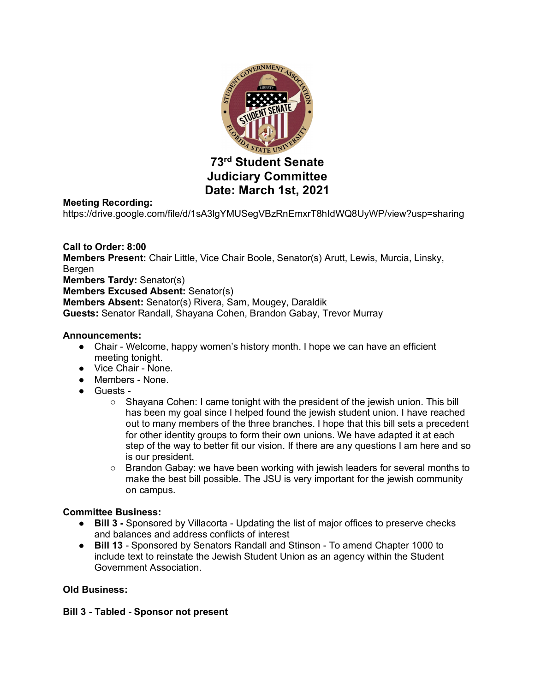

#### **Meeting Recording:**

https://drive.google.com/file/d/1sA3lgYMUSegVBzRnEmxrT8hIdWQ8UyWP/view?usp=sharing

## **Call to Order: 8:00**

**Members Present:** Chair Little, Vice Chair Boole, Senator(s) Arutt, Lewis, Murcia, Linsky, Bergen

**Members Tardy:** Senator(s)

**Members Excused Absent:** Senator(s)

**Members Absent:** Senator(s) Rivera, Sam, Mougey, Daraldik

**Guests:** Senator Randall, Shayana Cohen, Brandon Gabay, Trevor Murray

#### **Announcements:**

- Chair Welcome, happy women's history month. I hope we can have an efficient meeting tonight.
- Vice Chair None.
- Members None.
- Guests
	- Shayana Cohen: I came tonight with the president of the jewish union. This bill has been my goal since I helped found the jewish student union. I have reached out to many members of the three branches. I hope that this bill sets a precedent for other identity groups to form their own unions. We have adapted it at each step of the way to better fit our vision. If there are any questions I am here and so is our president.
	- Brandon Gabay: we have been working with jewish leaders for several months to make the best bill possible. The JSU is very important for the jewish community on campus.

#### **Committee Business:**

- **Bill 3** Sponsored by Villacorta Updating the list of major offices to preserve checks and balances and address conflicts of interest
- **Bill 13** Sponsored by Senators Randall and Stinson To amend Chapter 1000 to include text to reinstate the Jewish Student Union as an agency within the Student Government Association.

#### **Old Business:**

## **Bill 3 - Tabled - Sponsor not present**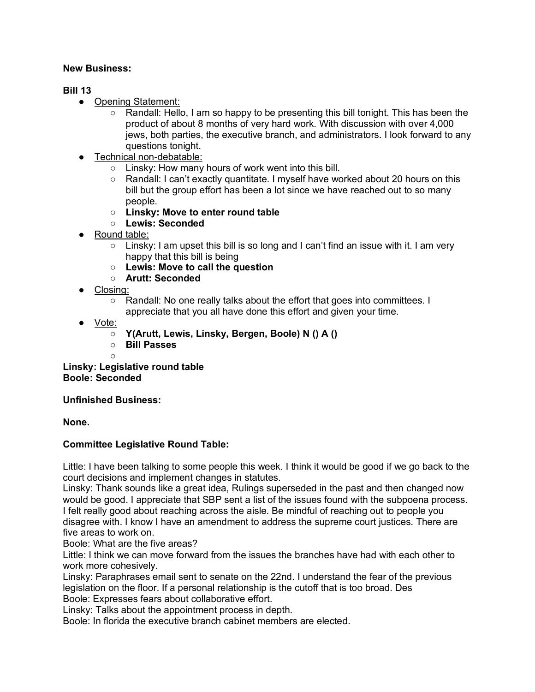## **New Business:**

## **Bill 13**

- Opening Statement:
	- $\circ$  Randall: Hello, I am so happy to be presenting this bill tonight. This has been the product of about 8 months of very hard work. With discussion with over 4,000 jews, both parties, the executive branch, and administrators. I look forward to any questions tonight.
- Technical non-debatable:
	- Linsky: How many hours of work went into this bill.
	- Randall: I can't exactly quantitate. I myself have worked about 20 hours on this bill but the group effort has been a lot since we have reached out to so many people.
	- **Linsky: Move to enter round table**
	- **Lewis: Seconded**
- Round table:
	- $\circ$  Linsky: I am upset this bill is so long and I can't find an issue with it. I am very happy that this bill is being
	- **Lewis: Move to call the question**
	- **Arutt: Seconded**
- Closing:
	- Randall: No one really talks about the effort that goes into committees. I appreciate that you all have done this effort and given your time.
- Vote:
	- **Y(Arutt, Lewis, Linsky, Bergen, Boole) N () A ()**
	- **Bill Passes**
	- $\circ$

**Linsky: Legislative round table Boole: Seconded**

## **Unfinished Business:**

## **None.**

## **Committee Legislative Round Table:**

Little: I have been talking to some people this week. I think it would be good if we go back to the court decisions and implement changes in statutes.

Linsky: Thank sounds like a great idea, Rulings superseded in the past and then changed now would be good. I appreciate that SBP sent a list of the issues found with the subpoena process. I felt really good about reaching across the aisle. Be mindful of reaching out to people you disagree with. I know I have an amendment to address the supreme court justices. There are five areas to work on.

Boole: What are the five areas?

Little: I think we can move forward from the issues the branches have had with each other to work more cohesively.

Linsky: Paraphrases email sent to senate on the 22nd. I understand the fear of the previous legislation on the floor. If a personal relationship is the cutoff that is too broad. Des Boole: Expresses fears about collaborative effort.

Linsky: Talks about the appointment process in depth.

Boole: In florida the executive branch cabinet members are elected.